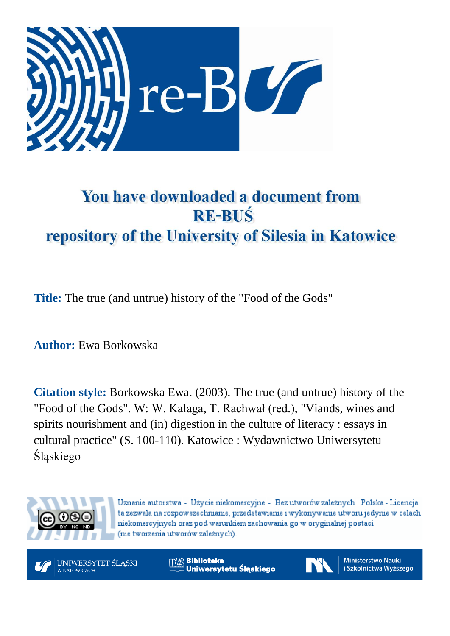

## You have downloaded a document from **RE-BUŚ** repository of the University of Silesia in Katowice

**Title:** The true (and untrue) history of the "Food of the Gods"

**Author:** Ewa Borkowska

**Citation style:** Borkowska Ewa. (2003). The true (and untrue) history of the "Food of the Gods". W: W. Kalaga, T. Rachwał (red.), "Viands, wines and spirits nourishment and (in) digestion in the culture of literacy : essays in cultural practice" (S. 100-110). Katowice : Wydawnictwo Uniwersytetu Śląskiego



Uznanie autorstwa - Użycie niekomercyjne - Bez utworów zależnych Polska - Licencja ta zezwala na rozpowszechnianie, przedstawianie i wykonywanie utworu jedynie w celach niekomercyjnych oraz pod warunkiem zachowania go w oryginalnej postaci (nie tworzenia utworów zależnych).



**Biblioteka** Uniwersytetu Śląskiego



**Ministerstwo Nauki** i Szkolnictwa Wyższego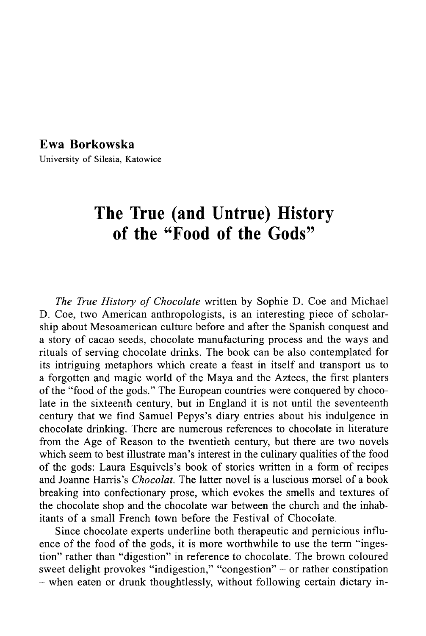## Ewa Borkowska

**University of Silesia, Katowice**

## **The True (and Untrue) History of the "Food of the Gods"**

The True History of Chocolate written by Sophie D. Coe and Michael D. Coe, two American anthropologists, is an interesting piece of scholarship about Mesoamerican culture before and after the Spanish conquest and a story of cacao seeds, chocolate manufacturing process and the ways and rituals of serving chocolate drinks. The book can be also contemplated for its intriguing metaphors which create a feast in itself and transport us to a forgotten and magic world of the Maya and the Aztecs, the first planters of the "food of the gods." The European countries were conquered by chocolate in the sixteenth century, but in England it is not until the seventeenth century that we find Samuel Pepys's diary entries about his indulgence in chocolate drinking. There are numerous references to chocolate in literature from the Age of Reason to the twentieth century, but there are two novels which seem to best illustrate man's interest in the culinary qualities of the food of the gods: Laura Esquivels's book of stories written in a form of recipes and Joanne Harris's *Chocolat.* The latter novel is a luscious morsel of a book breaking into confectionary prose, which evokes the smells and textures of the chocolate shop and the chocolate war between the church and the inhabitants of a small French town before the Festival of Chocolate.

Since chocolate experts underline both therapeutic and pernicious influence of the food of the gods, it is more worthwhile to use the term "ingestion" rather than "digestion" in reference to chocolate. The brown coloured sweet delight provokes "indigestion," "congestion" - or rather constipation - when eaten or drunk thoughtlessly, without following certain dietary in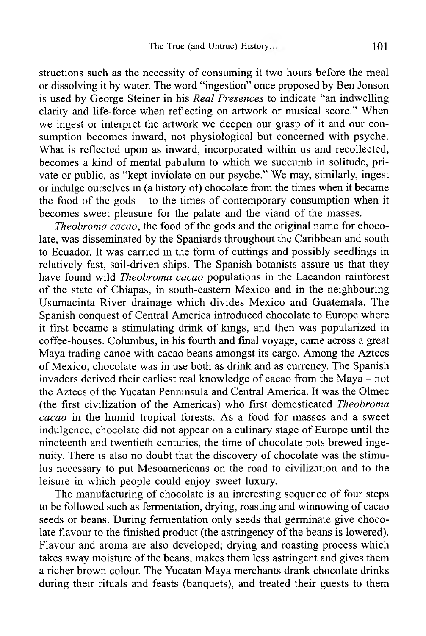structions such as the necessity of consuming it two hours before the meal or dissolving it by water. The word "ingestion" once proposed by Ben Jonson is used by George Steiner in his *Real Presences* to indicate "an indwelling clarity and life-force when reflecting on artwork or musical score." When we ingest or interpret the artwork we deepen our grasp of it and our consumption becomes inward, not physiological but concerned with psyche. What is reflected upon as inward, incorporated within us and recollected, becomes a kind of mental pabulum to which we succumb in solitude, private or public, as "kept inviolate on our psyche." We may, similarly, ingest or indulge ourselves in (a history of) chocolate from the times when it became the food of the gods  $-$  to the times of contemporary consumption when it becomes sweet pleasure for the palate and the viand of the masses.

*Theobroma cacao,* the food of the gods and the original name for chocolate, was disseminated by the Spaniards throughout the Caribbean and south to Ecuador. It was carried in the form of cuttings and possibly seedlings in relatively fast, sail-driven ships. The Spanish botanists assure us that they have found wild *Theobroma cacao* populations in the Lacandon rainforest of the state of Chiapas, in south-eastern Mexico and in the neighbouring Usumacinta River drainage which divides Mexico and Guatemala. The Spanish conquest of Central America introduced chocolate to Europe where it first became a stimulating drink of kings, and then was popularized in coffee-houses. Columbus, in his fourth and final voyage, came across a great Maya trading canoe with cacao beans amongst its cargo. Among the Aztecs of Mexico, chocolate was in use both as drink and as currency. The Spanish invaders derived their earliest real knowledge of cacao from the Maya - not the Aztecs of the Yucatan Penninsula and Central America. It was the Olmec (the first civilization of the Americas) who first domesticated *Theobroma cacao* in the humid tropical forests. As a food for masses and a sweet indulgence, chocolate did not appear on a culinary stage of Europe until the nineteenth and twentieth centuries, the time of chocolate pots brewed ingenuity. There is also no doubt that the discovery of chocolate was the stimulus necessary to put Mesoamericans on the road to civilization and to the leisure in which people could enjoy sweet luxury.

The manufacturing of chocolate is an interesting sequence of four steps to be followed such as fermentation, drying, roasting and winnowing of cacao seeds or beans. During fermentation only seeds that germinate give chocolate flavour to the finished product (the astringency of the beans is lowered). Flavour and aroma are also developed; drying and roasting process which takes away moisture of the beans, makes them less astringent and gives them a richer brown colour. The Yucatan Maya merchants drank chocolate drinks during their rituals and feasts (banquets), and treated their guests to them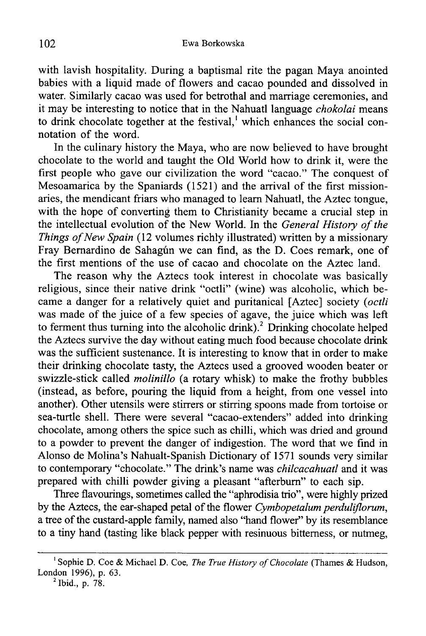with lavish hospitality. During a baptismal rite the pagan Maya anointed babies with a liquid made of flowers and cacao pounded and dissolved in water. Similarly cacao was used for betrothal and marriage ceremonies, and it may be interesting to notice that in the Nahuatl language *chokolai* means to drink chocolate together at the festival,<sup>1</sup> which enhances the social connotation of the word.

In the culinary history the Maya, who are now believed to have brought chocolate to the world and taught the Old World how to drink it, were the first people who gave our civilization the word "cacao." The conquest of Mesoamarica by the Spaniards (1521) and the arrival of the first missionaries, the mendicant friars who managed to learn Nahuatl, the Aztec tongue, with the hope of converting them to Christianity became a crucial step in the intellectual evolution of the New World. In the *General History of the Things of New Spain* (12 volumes richly illustrated) written by a missionary Fray Bernardino de Sahagún we can find, as the D. Coes remark, one of the first mentions of the use of cacao and chocolate on the Aztec land.

The reason why the Aztecs took interest in chocolate was basically religious, since their native drink "octli" (wine) was alcoholic, which became a danger for a relatively quiet and puritanical [Aztec] society (*octli* was made of the juice of a few species of agave, the juice which was left to ferment thus turning into the alcoholic drink).<sup>2</sup> Drinking chocolate helped the Aztecs survive the day without eating much food because chocolate drink was the sufficient sustenance. It is interesting to know that in order to make their drinking chocolate tasty, the Aztecs used a grooved wooden beater or swizzle-stick called *molinillo* (a rotary whisk) to make the frothy bubbles (instead, as before, pouring the liquid from a height, from one vessel into another). Other utensils were stirrers or stirring spoons made from tortoise or sea-turtle shell. There were several "cacao-extenders" added into drinking chocolate, among others the spice such as chilli, which was dried and ground to a powder to prevent the danger of indigestion. The word that we find in Alonso de Molina's Nahualt-Spanish Dictionary of 1571 sounds very similar to contemporary "chocolate." The drink's name was *chilcacahuatl* and it was prepared with chilli powder giving a pleasant "afterbum" to each sip.

Three flavourings, sometimes called the "aphrodisia trio", were highly prized by the Aztecs, the ear-shaped petal of the flower *Cymbopetalum perduliflorum,* a tree of the custard-apple family, named also "hand flower" by its resemblance to a tiny hand (tasting like black pepper with resinuous bitterness, or nutmeg,

<sup>&</sup>lt;sup>1</sup> Sophie D. Coe & Michael D. Coe, *The True History of Chocolate* (Thames & Hudson, **London 1996), p. 63.**

**<sup>2</sup> Ibid., p. 78.**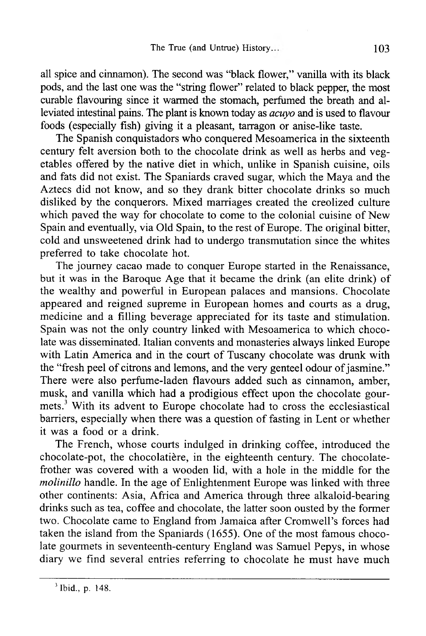all spice and cinnamon). The second was "black flower," vanilla with its black pods, and the last one was the "string flower" related to black pepper, the most curable flavouring since it warmed the stomach, perfumed the breath and alleviated intestinal pains. The plant is known today as *acuyo* and is used to flavour foods (especially fish) giving it a pleasant, tarragon or anise-like taste.

The Spanish conquistadors who conquered Mesoamerica in the sixteenth century felt aversion both to the chocolate drink as well as herbs and vegetables offered by the native diet in which, unlike in Spanish cuisine, oils and fats did not exist. The Spaniards craved sugar, which the Maya and the Aztecs did not know, and so they drank bitter chocolate drinks so much disliked by the conquerors. Mixed marriages created the creolized culture which paved the way for chocolate to come to the colonial cuisine of New Spain and eventually, via Old Spain, to the rest of Europe. The original bitter, cold and unsweetened drink had to undergo transmutation since the whites preferred to take chocolate hot.

The journey cacao made to conquer Europe started in the Renaissance, but it was in the Baroque Age that it became the drink (an elite drink) of the wealthy and powerful in European palaces and mansions. Chocolate appeared and reigned supreme in European homes and courts as a drug, medicine and a filling beverage appreciated for its taste and stimulation. Spain was not the only country linked with Mesoamerica to which chocolate was disseminated. Italian convents and monasteries always linked Europe with Latin America and in the court of Tuscany chocolate was drunk with the "fresh peel of citrons and lemons, and the very genteel odour of jasmine." There were also perfume-laden flavours added such as cinnamon, amber, musk, and vanilla which had a prodigious effect upon the chocolate gourmets.3 With its advent to Europe chocolate had to cross the ecclesiastical barriers, especially when there was a question of fasting in Lent or whether it was a food or a drink.

The French, whose courts indulged in drinking coffee, introduced the chocolate-pot, the chocolatière, in the eighteenth century. The chocolatefrother was covered with a wooden lid, with a hole in the middle for the *molinillo* handle. In the age of Enlightenment Europe was linked with three other continents: Asia, Africa and America through three alkaloid-bearing drinks such as tea, coffee and chocolate, the latter soon ousted by the former two. Chocolate came to England from Jamaica after Cromwell's forces had taken the island from the Spaniards (1655). One of the most famous chocolate gourmets in seventeenth-century England was Samuel Pepys, in whose diary we find several entries referring to chocolate he must have much

 $3$  Ibid., p. 148.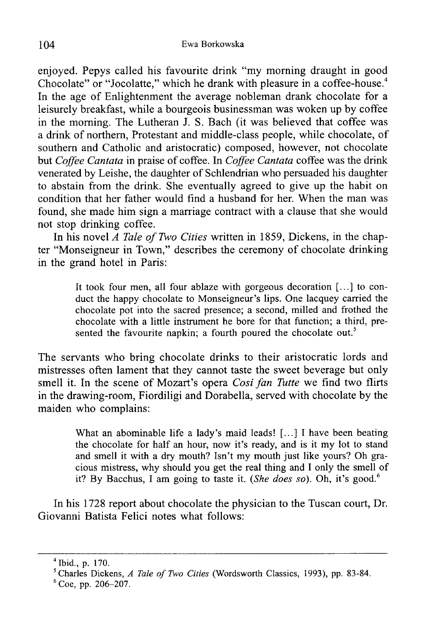enjoyed. Pepys called his favourite drink "my morning draught in good Chocolate" or "Jocolatte," which he drank with pleasure in a coffee-house.<sup>4</sup> In the age of Enlightenment the average nobleman drank chocolate for a leisurely breakfast, while a bourgeois businessman was woken up by coffee in the morning. The Lutheran J. S. Bach (it was believed that coffee was a drink of northern, Protestant and middle-class people, while chocolate, of southern and Catholic and aristocratic) composed, however, not chocolate but *Coffee Cantata* in praise of coffee. In *Coffee Cantata* coffee was the drink venerated by Leishe, the daughter of Schlendrian who persuaded his daughter to abstain from the drink. She eventually agreed to give up the habit on condition that her father would find a husband for her. When the man was found, she made him sign a marriage contract with a clause that she would not stop drinking coffee.

In his novel *A Tale of Two Cities* written in 1859, Dickens, in the chapter "Monseigneur in Town," describes the ceremony of chocolate drinking in the grand hotel in Paris:

> **It took four men, all four ablaze with gorgeous decoration [...] to con**duct the happy chocolate to Monseigneur's lips. One lacquey carried the **chocolate pot into the sacred presence; a second, milled and frothed the chocolate with a little instmment he bore for that function; a third, presented the favourite napkin; a fourth poured the chocolate out.5**

The servants who bring chocolate drinks to their aristocratic lords and mistresses often lament that they cannot taste the sweet beverage but only smell it. In the scene of Mozart's opera *Cosi fan Tutte* we find two flirts in the drawing-room, Fiordiligi and Dorabella, served with chocolate by the maiden who complains:

> **What an abominable life a lady's maid leads! [...] I have been beating the chocolate for half an hour, now it's ready, and is it my lot to stand and smell it with a dry mouth? Isn't my mouth just like yours? Oh gra**cious mistress, why should you get the real thing and I only the smell of it? By Bacchus, I am going to taste it. *(She does so)*. Oh, it's good.<sup>6</sup>

In his 1728 report about chocolate the physician to the Tuscan court, Dr. Giovanni Batista Felici notes what follows:

<sup>4</sup> Ibid., p. 170.

<sup>&</sup>lt;sup>5</sup> Charles Dickens, *A Tale of Two Cities* (Wordsworth Classics, 1993), pp. 83-84.

 $6$  Coe, pp. 206-207.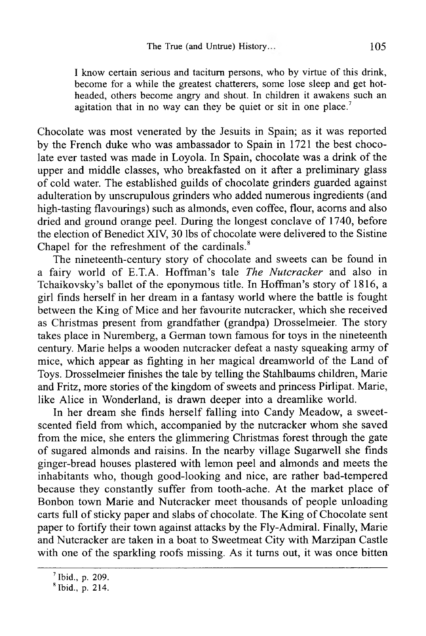I know certain serious and taciturn persons, who by virtue of this drink, **become for a while the greatest chatterers, some lose sleep and get hotheaded, others become angry and shout. In children it awakens such an agitation that in no way can they be quiet or sit in one place.7**

Chocolate was most venerated by the Jesuits in Spain; as it was reported by the French duke who was ambassador to Spain in 1721 the best chocolate ever tasted was made in Loyola. In Spain, chocolate was a drink of the upper and middle classes, who breakfasted on it after a preliminary glass of cold water. The established guilds of chocolate grinders guarded against adulteration by unscrupulous grinders who added numerous ingredients (and high-tasting flavourings) such as almonds, even coffee, flour, acorns and also dried and ground orange peel. During the longest conclave of 1740, before the election of Benedict XIV, 30 lbs of chocolate were delivered to the Sistine Chapel for the refreshment of the cardinals.<sup>8</sup>

The nineteenth-century story of chocolate and sweets can be found in a fairy world of E.T.A. Hoffman's tale *The Nutcracker* and also in Tchaikovsky's ballet of the eponymous title. In Hoffman's story of 1816, a girl finds herself in her dream in a fantasy world where the battle is fought between the King of Mice and her favourite nutcracker, which she received as Christmas present from grandfather (grandpa) Drosselmeier. The story takes place in Nuremberg, a German town famous for toys in the nineteenth century. Marie helps a wooden nutcracker defeat a nasty squeaking army of mice, which appear as fighting in her magical dreamworld of the Land of Toys. Drosselmeier finishes the tale by telling the Stahlbaums children, Marie and Fritz, more stories of the kingdom of sweets and princess Pirlipat. Marie, like Alice in Wonderland, is drawn deeper into a dreamlike world.

In her dream she finds herself falling into Candy Meadow, a sweetscented field from which, accompanied by the nutcracker whom she saved from the mice, she enters the glimmering Christmas forest through the gate of sugared almonds and raisins. In the nearby village Sugarwell she finds ginger-bread houses plastered with lemon peel and almonds and meets the inhabitants who, though good-looking and nice, are rather bad-tempered because they constantly suffer from tooth-ache. At the market place of Bonbon town Marie and Nutcracker meet thousands of people unloading carts full of sticky paper and slabs of chocolate. The King of Chocolate sent paper to fortify their town against attacks by the Fly-Admiral. Finally, Marie and Nutcracker are taken in a boat to Sweetmeat City with Marzipan Castle with one of the sparkling roofs missing. As it turns out, it was once bitten

<sup>7</sup> Ibid., p. 209.

 $$$  Ibid., p. 214.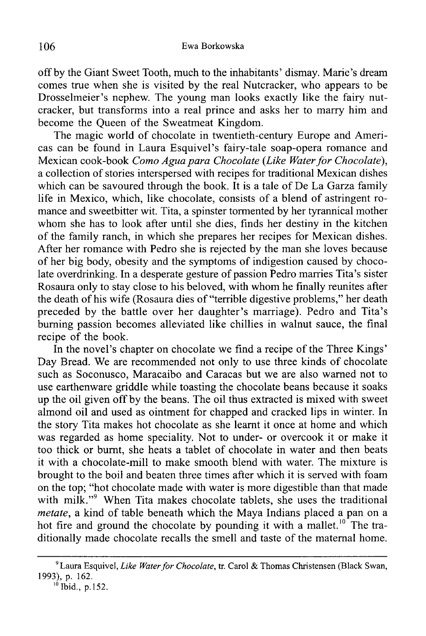off by the Giant Sweet Tooth, much to the inhabitants' dismay. Marie's dream comes true when she is visited by the real Nutcracker, who appears to be Drosselmeier's nephew. The young man looks exactly like the fairy nutcracker, but transforms into a real prince and asks her to marry him and become the Queen of the Sweatmeat Kingdom.

The magic world of chocolate in twentieth-century Europe and Americas can be found in Laura Esquivel's fairy-tale soap-opera romance and Mexican cook-book *Como Agua para Chocolate* (*Like Water for Chocolate*), a collection of stories interspersed with recipes for traditional Mexican dishes which can be savoured through the book. It is a tale of De La Garza family life in Mexico, which, like chocolate, consists of a blend of astringent romance and sweetbitter wit. Tita, a spinster tormented by her tyrannical mother whom she has to look after until she dies, finds her destiny in the kitchen of the family ranch, in which she prepares her recipes for Mexican dishes. After her romance with Pedro she is rejected by the man she loves because of her big body, obesity and the symptoms of indigestion caused by chocolate overdrinking. In a desperate gesture of passion Pedro marries Tita's sister Rosaura only to stay close to his beloved, with whom he finally reunites after the death of his wife (Rosaura dies of "terrible digestive problems," her death preceded by the battle over her daughter's marriage). Pedro and Tita's burning passion becomes alleviated like chillies in walnut sauce, the final recipe of the book.

In the novel's chapter on chocolate we find a recipe of the Three Kings' Day Bread. We are recommended not only to use three kinds of chocolate such as Soconusco, Maracaibo and Caracas but we are also warned not to use earthenware griddle while toasting the chocolate beans because it soaks up the oil given off by the beans. The oil thus extracted is mixed with sweet almond oil and used as ointment for chapped and cracked lips in winter. In the story Tita makes hot chocolate as she learnt it once at home and which was regarded as home speciality. Not to under- or overcook it or make it too thick or burnt, she heats a tablet of chocolate in water and then beats it with a chocolate-mill to make smooth blend with water. The mixture is brought to the boil and beaten three times after which it is served with foam on the top; "hot chocolate made with water is more digestible than that made with milk."<sup>9</sup> When Tita makes chocolate tablets, she uses the traditional *metate,* a kind of table beneath which the Maya Indians placed a pan on a hot fire and ground the chocolate by pounding it with a mallet.<sup>10</sup> The traditionally made chocolate recalls the smell and taste of the maternal home.

<sup>&</sup>lt;sup>9</sup> Laura Esquivel, *Like Water for Chocolate*, tr. Carol & Thomas Christensen (Black Swan, **1993), p. 162.**

**<sup>10</sup> Ibid., p. 152.**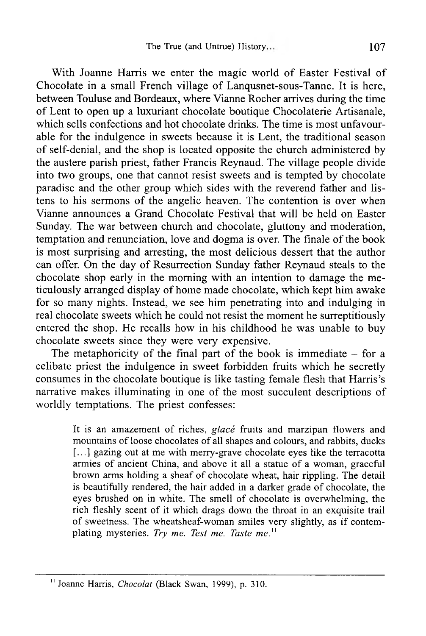With Joanne Harris we enter the magic world of Easter Festival of Chocolate in a small French village of Lanqusnet-sous-Tanne. It is here, between Touluse and Bordeaux, where Vianne Rocher arrives during the time of Lent to open up a luxuriant chocolate boutique Chocolaterie Artisanale, which sells confections and hot chocolate drinks. The time is most unfavourable for the indulgence in sweets because it is Lent, the traditional season of self-denial, and the shop is located opposite the church administered by the austere parish priest, father Francis Reynaud. The village people divide into two groups, one that cannot resist sweets and is tempted by chocolate paradise and the other group which sides with the reverend father and listens to his sermons of the angelic heaven. The contention is over when Vianne announces a Grand Chocolate Festival that will be held on Easter Sunday. The war between church and chocolate, gluttony and moderation, temptation and renunciation, love and dogma is over. The finale of the book is most surprising and arresting, the most delicious dessert that the author can offer. On the day of Resurrection Sunday father Reynaud steals to the chocolate shop early in the morning with an intention to damage the meticulously arranged display of home made chocolate, which kept him awake for so many nights. Instead, we see him penetrating into and indulging in real chocolate sweets which he could not resist the moment he surreptitiously entered the shop. He recalls how in his childhood he was unable to buy chocolate sweets since they were very expensive.

The metaphoricity of the final part of the book is immediate  $-$  for a celibate priest the indulgence in sweet forbidden fruits which he secretly consumes in the chocolate boutique is like tasting female flesh that Harris's narrative makes illuminating in one of the most succulent descriptions of worldly temptations. The priest confesses:

> It is an amazement of riches, *glacé* fruits and marzipan flowers and mountains of loose chocolates of all shapes and colours, and rabbits, ducks **[...] gazing out at me with merry-grave chocolate eyes like the terracotta** armies of ancient China, and above it all a statue of a woman, graceful brown arms holding a sheaf of chocolate wheat, hair rippling. The detail is beautifully rendered, the hair added in a darker grade of chocolate, the eyes brushed on in white. The smell of chocolate is overwhelming, the rich fleshly scent of it which drags down the throat in an exquisite trail of sweetness. The wheatsheaf-woman smiles very slightly, as if contemplating mysteries. Try me. Test me. Taste me.<sup>11</sup>

<sup>&</sup>quot; Joanne Harris, *Chocolat* (Black Swan, 1999), p. 310.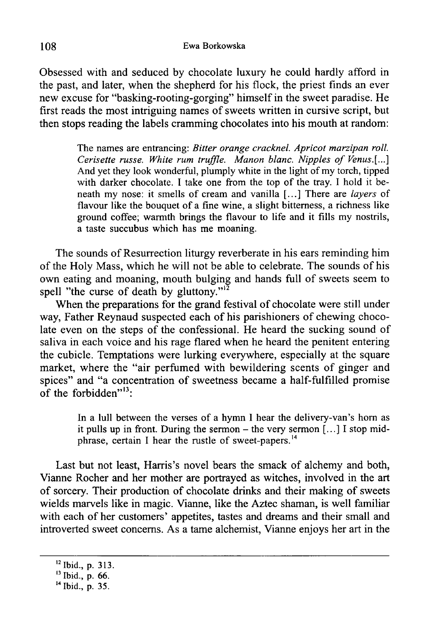Obsessed with and seduced by chocolate luxury he could hardly afford in the past, and later, when the shepherd for his flock, the priest finds an ever new excuse for "basking-rooting-gorging" himself in the sweet paradise. He first reads the most intriguing names of sweets written in cursive script, but then stops reading the labels cramming chocolates into his mouth at random:

> **The names are entrancing:** *Bitter orange cracknel. Apricot marzipan roll. Cerisette russe. White rum truffle. Manon blanc. Nipples of Venus.[...]* And yet they look wonderful, plumply white in the light of my torch, tipped with darker chocolate. I take one from the top of the tray. I hold it beneath my nose: it smells of cream and vanilla [...] There are *layers* of flavour like the bouquet of a fine wine, a slight bitterness, a richness like **ground coffee; warmth brings the flavour to life and it fills my nostrils, a taste succubus which has me moaning.**

The sounds of Resurrection liturgy reverberate in his ears reminding him of the Holy Mass, which he will not be able to celebrate. The sounds of his own eating and moaning, mouth bulging and hands full of sweets seem to spell "the curse of death by gluttony." $^{12}$ 

When the preparations for the grand festival of chocolate were still under way, Father Reynaud suspected each of his parishioners of chewing chocolate even on the steps of the confessional. He heard the sucking sound of saliva in each voice and his rage flared when he heard the penitent entering the cubicle. Temptations were lurking everywhere, especially at the square market, where the "air perfumed with bewildering scents of ginger and spices" and "a concentration of sweetness became a half-fulfilled promise of the forbidden $"$ <sup>13</sup>:

> In a lull between the verses of a hymn I hear the delivery-van's horn as it pulls up in front. During the sermon – the very sermon [...] I stop midphrase, certain I hear the rustle of sweet-papers.<sup>14</sup>

Last but not least, Harris's novel bears the smack of alchemy and both, Vianne Rocher and her mother are portrayed as witches, involved in the art of sorcery. Their production of chocolate drinks and their making of sweets wields marvels like in magic. Vianne, like the Aztec shaman, is well familiar with each of her customers' appetites, tastes and dreams and their small and introverted sweet concerns. As a tame alchemist, Vianne enjoys her art in the

<sup>12</sup> Ibid., **p.** 313.

<sup>13</sup> Ibid., **p.** 66.

<sup>14</sup> Ibid., **p.** 35.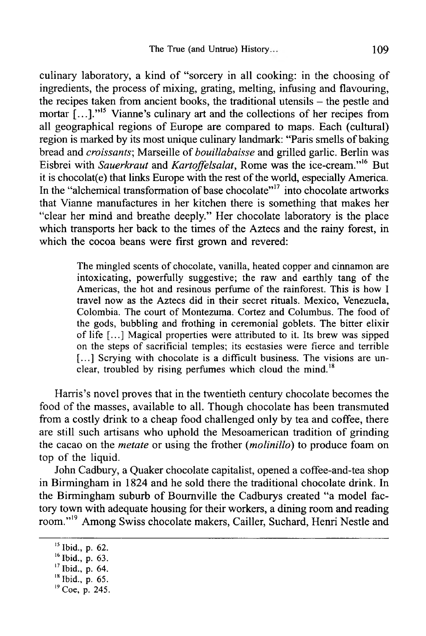culinary laboratory, a kind of "sorcery in all cooking: in the choosing of ingredients, the process of mixing, grating, melting, infusing and flavouring, the recipes taken from ancient books, the traditional utensils - the pestle and mortar [...]."<sup>15</sup> Vianne's culinary art and the collections of her recipes from all geographical regions of Europe are compared to maps. Each (cultural) region is marked by its most unique culinary landmark: "Paris smells of baking bread and *croissants*; Marseille of *bouillabaisse* and grilled garlic. Berlin was Eisbrei with *Sauerkraut* and *Kartoffelsalat,* Rome was the ice-cream."16 But it is chocolat(e) that links Europe with the rest of the world, especially America. In the "alchemical transformation of base chocolate"<sup>17</sup> into chocolate artworks that Vianne manufactures in her kitchen there is something that makes her "clear her mind and breathe deeply." Her chocolate laboratory is the place which transports her back to the times of the Aztecs and the rainy forest, in which the cocoa beans were first grown and revered:

> The mingled scents of chocolate, vanilla, heated copper and cinnamon are intoxicating, powerfully suggestive; the raw and earthly tang of the Americas, the hot and resinous perfume of the rainforest. This is how I travel now as the Aztecs did in their secret rituals. Mexico, Venezuela, Colombia. The court of Montezuma. Cortez and Columbus. The food of the gods, bubbling and frothing in ceremonial goblets. The bitter elixir of life [...] Magical properties were attributed to it. Its brew was sipped on the steps of sacrificial temples; its ecstasies were fierce and terrible [...] Scrying with chocolate is a difficult business. The visions are unclear, troubled by rising perfumes which cloud the mind.<sup>18</sup>

Harris's novel proves that in the twentieth century chocolate becomes the food of the masses, available to all. Though chocolate has been transmuted from a costly drink to a cheap food challenged only by tea and coffee, there are still such artisans who uphold the Mesoamerican tradition of grinding the cacao on the *metate* or using the frother (*molinillo*) to produce foam on top of the liquid.

John Cadbury, a Quaker chocolate capitalist, opened a coffee-and-tea shop in Birmingham in 1824 and he sold there the traditional chocolate drink. In the Birmingham suburb of Bournville the Cadburys created "a model factory town with adequate housing for their workers, a dining room and reading room."<sup>19</sup> Among Swiss chocolate makers, Cailler, Suchard, Henri Nestle and

**<sup>15</sup> Ibid., p. 62.**

**<sup>16</sup> Ibid., p. 63.**

**<sup>17</sup> Ibid., p. 64.**

**<sup>18</sup> Ibid., p. 65.**

**<sup>19</sup> Coe, p. 245.**